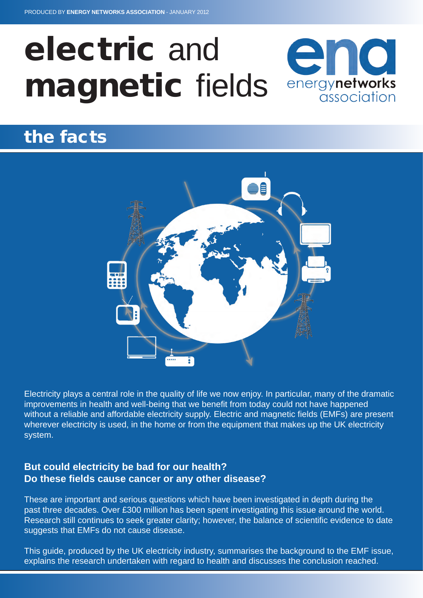## electric and end magnetic fields energynetworks association

# the facts



Electricity plays a central role in the quality of life we now enjoy. In particular, many of the dramatic improvements in health and well-being that we benefit from today could not have happened without a reliable and affordable electricity supply. Electric and magnetic fields (EMFs) are present wherever electricity is used, in the home or from the equipment that makes up the UK electricity system.

## **But could electricity be bad for our health? Do these fields cause cancer or any other disease?**

These are important and serious questions which have been investigated in depth during the past three decades. Over £300 million has been spent investigating this issue around the world. Research still continues to seek greater clarity; however, the balance of scientific evidence to date suggests that EMFs do not cause disease.

This guide, produced by the UK electricity industry, summarises the background to the EMF issue, explains the research undertaken with regard to health and discusses the conclusion reached.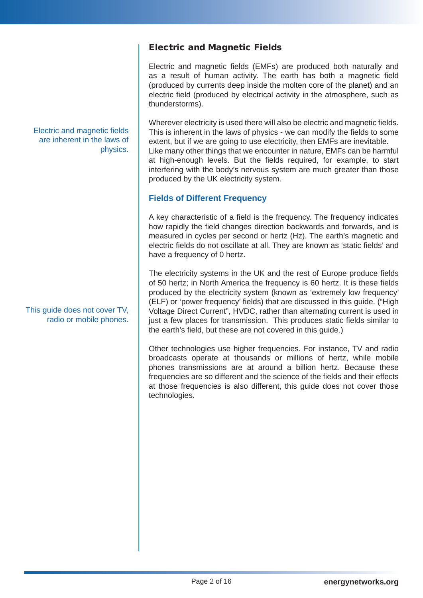## Electric and Magnetic Fields

Electric and magnetic fields (EMFs) are produced both naturally and as a result of human activity. The earth has both a magnetic field (produced by currents deep inside the molten core of the planet) and an electric field (produced by electrical activity in the atmosphere, such as thunderstorms).

Wherever electricity is used there will also be electric and magnetic fields. This is inherent in the laws of physics - we can modify the fields to some extent, but if we are going to use electricity, then EMFs are inevitable. Like many other things that we encounter in nature, EMFs can be harmful at high-enough levels. But the fields required, for example, to start interfering with the body's nervous system are much greater than those produced by the UK electricity system.

## **Fields of Different Frequency**

A key characteristic of a field is the frequency. The frequency indicates how rapidly the field changes direction backwards and forwards, and is measured in cycles per second or hertz (Hz). The earth's magnetic and electric fields do not oscillate at all. They are known as 'static fields' and have a frequency of 0 hertz.

The electricity systems in the UK and the rest of Europe produce fields of 50 hertz; in North America the frequency is 60 hertz. It is these fields produced by the electricity system (known as 'extremely low frequency' (ELF) or 'power frequency' fields) that are discussed in this guide. ("High Voltage Direct Current", HVDC, rather than alternating current is used in just a few places for transmission. This produces static fields similar to the earth's field, but these are not covered in this guide.)

Other technologies use higher frequencies. For instance, TV and radio broadcasts operate at thousands or millions of hertz, while mobile phones transmissions are at around a billion hertz. Because these frequencies are so different and the science of the fields and their effects at those frequencies is also different, this guide does not cover those technologies.

#### Electric and magnetic fields are inherent in the laws of physics.

This guide does not cover TV, radio or mobile phones.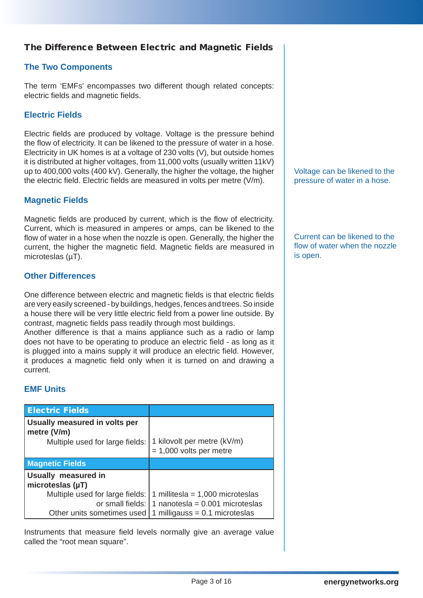## The Difference Between Electric and Magnetic Fields

## **The Two Components**

The term 'EMFs' encompasses two different though related concepts: electric fields and magnetic fields.

## **Electric Fields**

Electric fields are produced by voltage. Voltage is the pressure behind the flow of electricity. It can be likened to the pressure of water in a hose. Electricity in UK homes is at a voltage of 230 volts (V), but outside homes it is distributed at higher voltages, from 11,000 volts (usually written 11kV) up to 400,000 volts (400 kV). Generally, the higher the voltage, the higher the electric field. Electric fields are measured in volts per metre (V/m).

#### **Magnetic Fields**

Magnetic fields are produced by current, which is the flow of electricity. Current, which is measured in amperes or amps, can be likened to the flow of water in a hose when the nozzle is open. Generally, the higher the current, the higher the magnetic field. Magnetic fields are measured in microteslas (µT).

#### **Other Differences**

One difference between electric and magnetic fields is that electric fields are very easily screened - by buildings, hedges, fences and trees. So inside a house there will be very little electric field from a power line outside. By contrast, magnetic fields pass readily through most buildings.

Another difference is that a mains appliance such as a radio or lamp does not have to be operating to produce an electric field - as long as it is plugged into a mains supply it will produce an electric field. However, it produces a magnetic field only when it is turned on and drawing a current.

#### **EMF Units**

| <b>Electric Fields</b>                       |                                                          |
|----------------------------------------------|----------------------------------------------------------|
| Usually measured in volts per<br>metre (V/m) |                                                          |
| Multiple used for large fields:              | 1 kilovolt per metre (kV/m)<br>$= 1,000$ volts per metre |
| <b>Magnetic Fields</b>                       |                                                          |
| Usually measured in                          |                                                          |
| microteslas $(\mu T)$                        |                                                          |
| Multiple used for large fields:              | 1 millitesla = $1,000$ microteslas                       |
| or small fields:                             | 1 nanotesla = $0.001$ microteslas                        |
| Other units sometimes used                   | 1 milligauss = $0.1$ microteslas                         |

Instruments that measure field levels normally give an average value called the "root mean square".

Voltage can be likened to the pressure of water in a hose.

Current can be likened to the flow of water when the nozzle is open.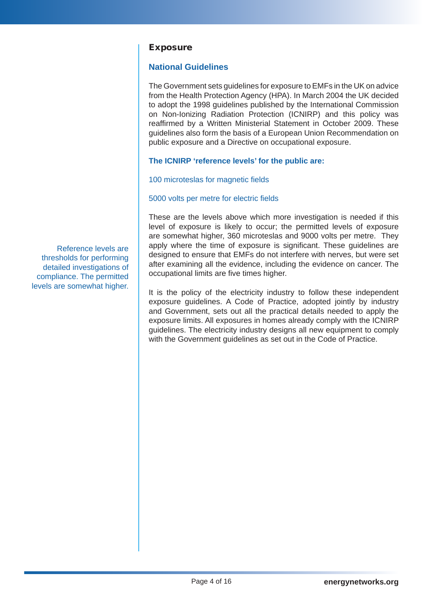#### Exposure

#### **National Guidelines**

The Government sets guidelines for exposure to EMFs in the UK on advice from the Health Protection Agency (HPA). In March 2004 the UK decided to adopt the 1998 guidelines published by the International Commission on Non-Ionizing Radiation Protection (ICNIRP) and this policy was reaffirmed by a Written Ministerial Statement in October 2009. These guidelines also form the basis of a European Union Recommendation on public exposure and a Directive on occupational exposure.

#### **The ICNIRP 'reference levels' for the public are:**

100 microteslas for magnetic fields

#### 5000 volts per metre for electric fields

These are the levels above which more investigation is needed if this level of exposure is likely to occur; the permitted levels of exposure are somewhat higher, 360 microteslas and 9000 volts per metre. They apply where the time of exposure is significant. These guidelines are designed to ensure that EMFs do not interfere with nerves, but were set after examining all the evidence, including the evidence on cancer. The occupational limits are five times higher.

It is the policy of the electricity industry to follow these independent exposure guidelines. A Code of Practice, adopted jointly by industry and Government, sets out all the practical details needed to apply the exposure limits. All exposures in homes already comply with the ICNIRP guidelines. The electricity industry designs all new equipment to comply with the Government quidelines as set out in the Code of Practice.

Reference levels are thresholds for performing detailed investigations of compliance. The permitted levels are somewhat higher.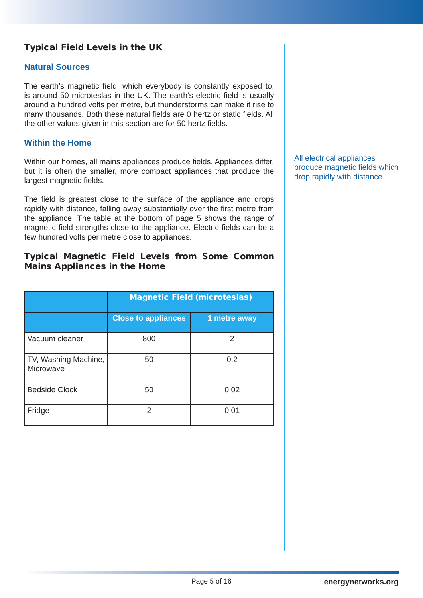## Typical Field Levels in the UK

#### **Natural Sources**

The earth's magnetic field, which everybody is constantly exposed to, is around 50 microteslas in the UK. The earth's electric field is usually around a hundred volts per metre, but thunderstorms can make it rise to many thousands. Both these natural fields are 0 hertz or static fields. All the other values given in this section are for 50 hertz fields.

#### **Within the Home**

Within our homes, all mains appliances produce fields. Appliances differ, but it is often the smaller, more compact appliances that produce the largest magnetic fields.

The field is greatest close to the surface of the appliance and drops rapidly with distance, falling away substantially over the first metre from the appliance. The table at the bottom of page 5 shows the range of magnetic field strengths close to the appliance. Electric fields can be a few hundred volts per metre close to appliances.

#### Typical Magnetic Field Levels from Some Common Mains Appliances in the Home

|                                   | <b>Magnetic Field (microteslas)</b> |              |  |
|-----------------------------------|-------------------------------------|--------------|--|
|                                   | <b>Close to appliances</b>          | 1 metre away |  |
| Vacuum cleaner                    | 800                                 | 2            |  |
| TV, Washing Machine,<br>Microwave | 50                                  | 0.2          |  |
| <b>Bedside Clock</b>              | 50                                  | 0.02         |  |
| Fridge                            | $\mathcal{P}$                       | 0.01         |  |

All electrical appliances produce magnetic fields which drop rapidly with distance.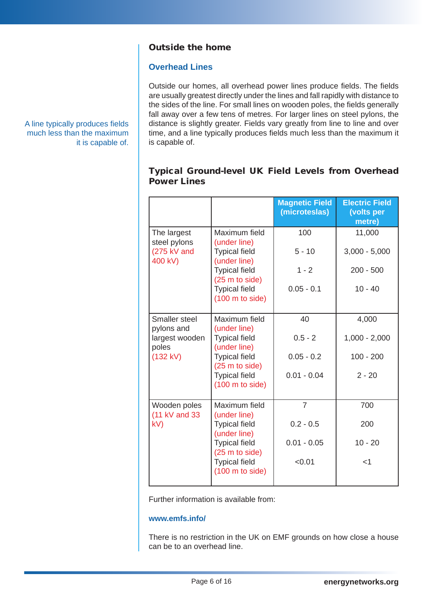## Outside the home

#### **Overhead Lines**

Outside our homes, all overhead power lines produce fields. The fields are usually greatest directly under the lines and fall rapidly with distance to the sides of the line. For small lines on wooden poles, the fields generally fall away over a few tens of metres. For larger lines on steel pylons, the distance is slightly greater. Fields vary greatly from line to line and over time, and a line typically produces fields much less than the maximum it is capable of.

## Typical Ground-level UK Field Levels from Overhead Power Lines

|                               |                                                   | <b>Magnetic Field</b><br>(microteslas) | <b>Electric Field</b><br>(volts per<br>metre) |
|-------------------------------|---------------------------------------------------|----------------------------------------|-----------------------------------------------|
| The largest<br>steel pylons   | Maximum field<br>(under line)                     | 100                                    | 11,000                                        |
| (275 kV and<br>400 kV)        | <b>Typical field</b><br>(under line)              | $5 - 10$                               | $3,000 - 5,000$                               |
|                               | <b>Typical field</b><br>(25 m to side)            | $1 - 2$                                | $200 - 500$                                   |
|                               | <b>Typical field</b><br>$(100 \text{ m to side})$ | $0.05 - 0.1$                           | $10 - 40$                                     |
| Smaller steel<br>pylons and   | Maximum field<br>(under line)                     | 40                                     | 4,000                                         |
| largest wooden<br>poles       | <b>Typical field</b><br>(under line)              | $0.5 - 2$                              | $1,000 - 2,000$                               |
| (132 kV)                      | <b>Typical field</b><br>(25 m to side)            | $0.05 - 0.2$                           | $100 - 200$                                   |
|                               | <b>Typical field</b><br>$(100 \text{ m to side})$ | $0.01 - 0.04$                          | $2 - 20$                                      |
| Wooden poles<br>(11 kV and 33 | Maximum field<br>(under line)                     | $\overline{7}$                         | 700                                           |
| kV)                           | <b>Typical field</b><br>(under line)              | $0.2 - 0.5$                            | 200                                           |
|                               | <b>Typical field</b><br>(25 m to side)            | $0.01 - 0.05$                          | $10 - 20$                                     |
|                               | <b>Typical field</b><br>$(100 \text{ m to side})$ | < 0.01                                 | $<$ 1                                         |

Further information is available from:

#### **www.emfs.info/**

There is no restriction in the UK on EMF grounds on how close a house can be to an overhead line.

A line typically produces fields much less than the maximum it is capable of.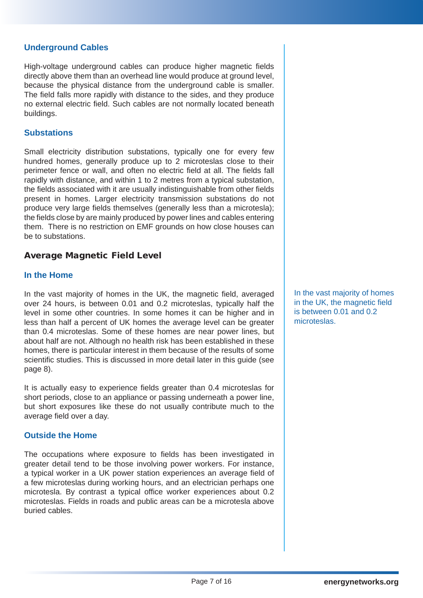#### **Underground Cables**

High-voltage underground cables can produce higher magnetic fields directly above them than an overhead line would produce at ground level, because the physical distance from the underground cable is smaller. The field falls more rapidly with distance to the sides, and they produce no external electric field. Such cables are not normally located beneath buildings.

#### **Substations**

Small electricity distribution substations, typically one for every few hundred homes, generally produce up to 2 microteslas close to their perimeter fence or wall, and often no electric field at all. The fields fall rapidly with distance, and within 1 to 2 metres from a typical substation, the fields associated with it are usually indistinguishable from other fields present in homes. Larger electricity transmission substations do not produce very large fields themselves (generally less than a microtesla); the fields close by are mainly produced by power lines and cables entering them. There is no restriction on EMF grounds on how close houses can be to substations.

#### Average Magnetic Field Level

#### **In the Home**

In the vast majority of homes in the UK, the magnetic field, averaged over 24 hours, is between 0.01 and 0.2 microteslas, typically half the level in some other countries. In some homes it can be higher and in less than half a percent of UK homes the average level can be greater than 0.4 microteslas. Some of these homes are near power lines, but about half are not. Although no health risk has been established in these homes, there is particular interest in them because of the results of some scientific studies. This is discussed in more detail later in this guide (see page 8).

It is actually easy to experience fields greater than 0.4 microteslas for short periods, close to an appliance or passing underneath a power line, but short exposures like these do not usually contribute much to the average field over a day.

#### **Outside the Home**

The occupations where exposure to fields has been investigated in greater detail tend to be those involving power workers. For instance, a typical worker in a UK power station experiences an average field of a few microteslas during working hours, and an electrician perhaps one microtesla. By contrast a typical office worker experiences about 0.2 microteslas. Fields in roads and public areas can be a microtesla above buried cables.

In the vast majority of homes in the UK, the magnetic field is between 0.01 and 0.2 microteslas.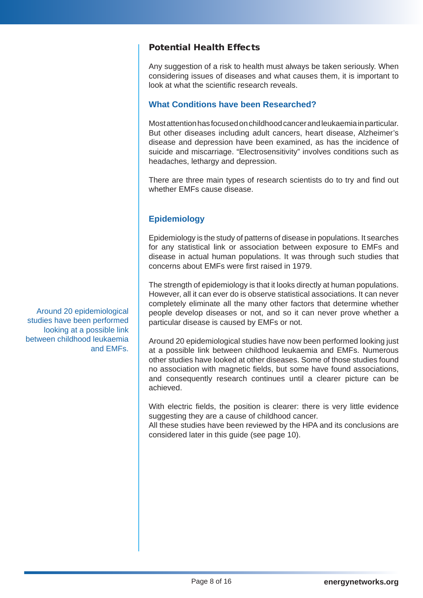## Potential Health Effects

Any suggestion of a risk to health must always be taken seriously. When considering issues of diseases and what causes them, it is important to look at what the scientific research reveals.

## **What Conditions have been Researched?**

Most attention has focused on childhood cancer and leukaemia in particular. But other diseases including adult cancers, heart disease, Alzheimer's disease and depression have been examined, as has the incidence of suicide and miscarriage. "Electrosensitivity" involves conditions such as headaches, lethargy and depression.

There are three main types of research scientists do to try and find out whether EMFs cause disease.

## **Epidemiology**

Epidemiology is the study of patterns of disease in populations. It searches for any statistical link or association between exposure to EMFs and disease in actual human populations. It was through such studies that concerns about EMFs were first raised in 1979.

The strength of epidemiology is that it looks directly at human populations. However, all it can ever do is observe statistical associations. It can never completely eliminate all the many other factors that determine whether people develop diseases or not, and so it can never prove whether a particular disease is caused by EMFs or not.

Around 20 epidemiological studies have now been performed looking just at a possible link between childhood leukaemia and EMFs. Numerous other studies have looked at other diseases. Some of those studies found no association with magnetic fields, but some have found associations, and consequently research continues until a clearer picture can be achieved.

With electric fields, the position is clearer: there is very little evidence suggesting they are a cause of childhood cancer.

All these studies have been reviewed by the HPA and its conclusions are considered later in this guide (see page 10).

Around 20 epidemiological studies have been performed looking at a possible link between childhood leukaemia and EMFs.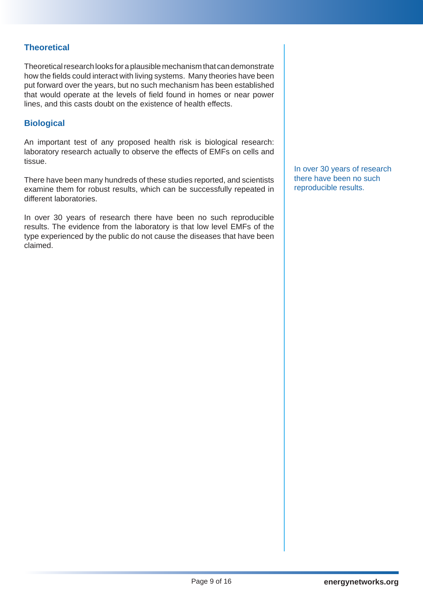## **Theoretical**

Theoretical research looks for a plausible mechanism that can demonstrate how the fields could interact with living systems. Many theories have been put forward over the years, but no such mechanism has been established that would operate at the levels of field found in homes or near power lines, and this casts doubt on the existence of health effects.

#### **Biological**

An important test of any proposed health risk is biological research: laboratory research actually to observe the effects of EMFs on cells and tissue.

There have been many hundreds of these studies reported, and scientists examine them for robust results, which can be successfully repeated in different laboratories.

In over 30 years of research there have been no such reproducible results. The evidence from the laboratory is that low level EMFs of the type experienced by the public do not cause the diseases that have been claimed.

In over 30 years of research there have been no such reproducible results.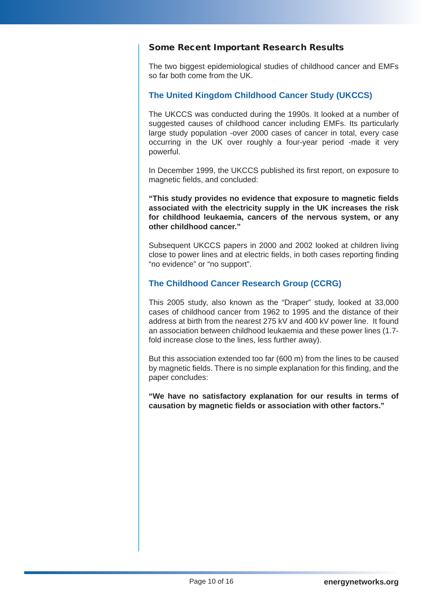#### Some Recent Important Research Results

The two biggest epidemiological studies of childhood cancer and EMFs so far both come from the UK.

## **The United Kingdom Childhood Cancer Study (UKCCS)**

The UKCCS was conducted during the 1990s. It looked at a number of suggested causes of childhood cancer including EMFs. Its particularly large study population -over 2000 cases of cancer in total, every case occurring in the UK over roughly a four-year period -made it very powerful.

In December 1999, the UKCCS published its first report, on exposure to magnetic fields, and concluded:

**"This study provides no evidence that exposure to magnetic fields associated with the electricity supply in the UK increases the risk for childhood leukaemia, cancers of the nervous system, or any other childhood cancer."**

Subsequent UKCCS papers in 2000 and 2002 looked at children living close to power lines and at electric fields, in both cases reporting finding "no evidence" or "no support".

## **The Childhood Cancer Research Group (CCRG)**

This 2005 study, also known as the "Draper" study, looked at 33,000 cases of childhood cancer from 1962 to 1995 and the distance of their address at birth from the nearest 275 kV and 400 kV power line. It found an association between childhood leukaemia and these power lines (1.7 fold increase close to the lines, less further away).

But this association extended too far (600 m) from the lines to be caused by magnetic fields. There is no simple explanation for this finding, and the paper concludes:

**"We have no satisfactory explanation for our results in terms of causation by magnetic fields or association with other factors."**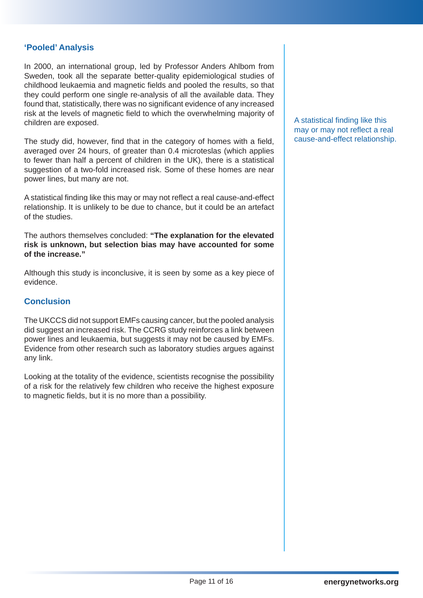#### **'Pooled' Analysis**

In 2000, an international group, led by Professor Anders Ahlbom from Sweden, took all the separate better-quality epidemiological studies of childhood leukaemia and magnetic fields and pooled the results, so that they could perform one single re-analysis of all the available data. They found that, statistically, there was no significant evidence of any increased risk at the levels of magnetic field to which the overwhelming majority of children are exposed.

The study did, however, find that in the category of homes with a field, averaged over 24 hours, of greater than 0.4 microteslas (which applies to fewer than half a percent of children in the UK), there is a statistical suggestion of a two-fold increased risk. Some of these homes are near power lines, but many are not.

A statistical finding like this may or may not reflect a real cause-and-effect relationship. It is unlikely to be due to chance, but it could be an artefact of the studies.

The authors themselves concluded: **"The explanation for the elevated risk is unknown, but selection bias may have accounted for some of the increase."**

Although this study is inconclusive, it is seen by some as a key piece of evidence.

#### **Conclusion**

The UKCCS did not support EMFs causing cancer, but the pooled analysis did suggest an increased risk. The CCRG study reinforces a link between power lines and leukaemia, but suggests it may not be caused by EMFs. Evidence from other research such as laboratory studies argues against any link.

Looking at the totality of the evidence, scientists recognise the possibility of a risk for the relatively few children who receive the highest exposure to magnetic fields, but it is no more than a possibility.

A statistical finding like this may or may not reflect a real cause-and-effect relationship.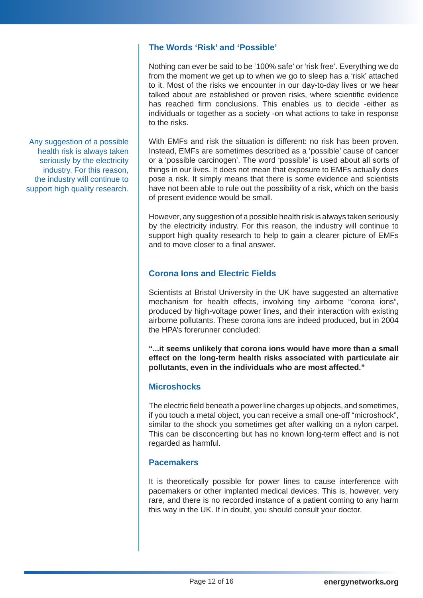## **The Words 'Risk' and 'Possible'**

Nothing can ever be said to be '100% safe' or 'risk free'. Everything we do from the moment we get up to when we go to sleep has a 'risk' attached to it. Most of the risks we encounter in our day-to-day lives or we hear talked about are established or proven risks, where scientific evidence has reached firm conclusions. This enables us to decide -either as individuals or together as a society -on what actions to take in response to the risks.

With EMFs and risk the situation is different: no risk has been proven. Instead, EMFs are sometimes described as a 'possible' cause of cancer or a 'possible carcinogen'. The word 'possible' is used about all sorts of things in our lives. It does not mean that exposure to EMFs actually does pose a risk. It simply means that there is some evidence and scientists have not been able to rule out the possibility of a risk, which on the basis of present evidence would be small.

However, any suggestion of a possible health risk is always taken seriously by the electricity industry. For this reason, the industry will continue to support high quality research to help to gain a clearer picture of EMFs and to move closer to a final answer.

## **Corona Ions and Electric Fields**

Scientists at Bristol University in the UK have suggested an alternative mechanism for health effects, involving tiny airborne "corona ions", produced by high-voltage power lines, and their interaction with existing airborne pollutants. These corona ions are indeed produced, but in 2004 the HPA's forerunner concluded:

**"...it seems unlikely that corona ions would have more than a small effect on the long-term health risks associated with particulate air pollutants, even in the individuals who are most affected."**

#### **Microshocks**

The electric field beneath a power line charges up objects, and sometimes, if you touch a metal object, you can receive a small one-off "microshock", similar to the shock you sometimes get after walking on a nylon carpet. This can be disconcerting but has no known long-term effect and is not regarded as harmful.

#### **Pacemakers**

It is theoretically possible for power lines to cause interference with pacemakers or other implanted medical devices. This is, however, very rare, and there is no recorded instance of a patient coming to any harm this way in the UK. If in doubt, you should consult your doctor.

Any suggestion of a possible health risk is always taken seriously by the electricity industry. For this reason, the industry will continue to support high quality research.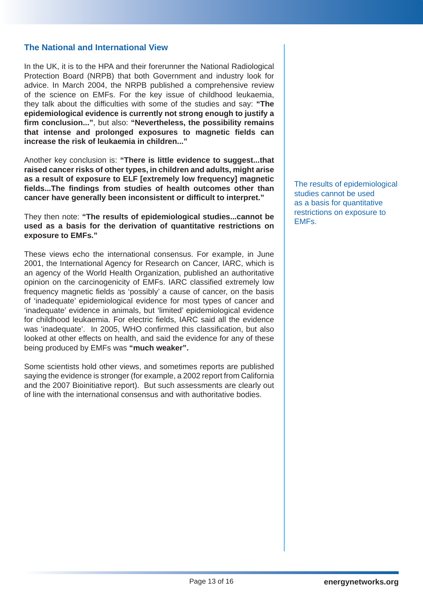#### **The National and International View**

In the UK, it is to the HPA and their forerunner the National Radiological Protection Board (NRPB) that both Government and industry look for advice. In March 2004, the NRPB published a comprehensive review of the science on EMFs. For the key issue of childhood leukaemia, they talk about the difficulties with some of the studies and say: **"The epidemiological evidence is currently not strong enough to justify a firm conclusion..."**, but also: **"Nevertheless, the possibility remains that intense and prolonged exposures to magnetic fields can increase the risk of leukaemia in children..."**

Another key conclusion is: **"There is little evidence to suggest...that raised cancer risks of other types, in children and adults, might arise as a result of exposure to ELF [extremely low frequency] magnetic fields...The findings from studies of health outcomes other than cancer have generally been inconsistent or difficult to interpret."**

They then note: **"The results of epidemiological studies...cannot be used as a basis for the derivation of quantitative restrictions on exposure to EMFs."**

These views echo the international consensus. For example, in June 2001, the International Agency for Research on Cancer, IARC, which is an agency of the World Health Organization, published an authoritative opinion on the carcinogenicity of EMFs. IARC classified extremely low frequency magnetic fields as 'possibly' a cause of cancer, on the basis of 'inadequate' epidemiological evidence for most types of cancer and 'inadequate' evidence in animals, but 'limited' epidemiological evidence for childhood leukaemia. For electric fields, IARC said all the evidence was 'inadequate'. In 2005, WHO confirmed this classification, but also looked at other effects on health, and said the evidence for any of these being produced by EMFs was **"much weaker".**

Some scientists hold other views, and sometimes reports are published saying the evidence is stronger (for example, a 2002 report from California and the 2007 Bioinitiative report). But such assessments are clearly out of line with the international consensus and with authoritative bodies.

The results of epidemiological studies cannot be used as a basis for quantitative restrictions on exposure to EMFs.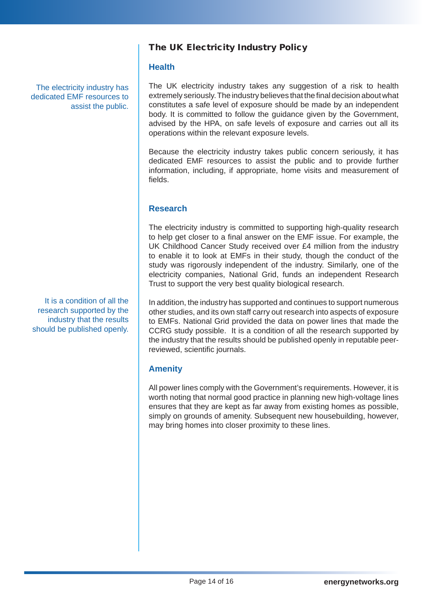The electricity industry has dedicated EMF resources to assist the public.

It is a condition of all the research supported by the industry that the results should be published openly.

## The UK Electricity Industry Policy

## **Health**

The UK electricity industry takes any suggestion of a risk to health extremely seriously. The industry believes that the final decision about what constitutes a safe level of exposure should be made by an independent body. It is committed to follow the guidance given by the Government, advised by the HPA, on safe levels of exposure and carries out all its operations within the relevant exposure levels.

Because the electricity industry takes public concern seriously, it has dedicated EMF resources to assist the public and to provide further information, including, if appropriate, home visits and measurement of fields.

## **Research**

The electricity industry is committed to supporting high-quality research to help get closer to a final answer on the EMF issue. For example, the UK Childhood Cancer Study received over £4 million from the industry to enable it to look at EMFs in their study, though the conduct of the study was rigorously independent of the industry. Similarly, one of the electricity companies, National Grid, funds an independent Research Trust to support the very best quality biological research.

In addition, the industry has supported and continues to support numerous other studies, and its own staff carry out research into aspects of exposure to EMFs. National Grid provided the data on power lines that made the CCRG study possible. It is a condition of all the research supported by the industry that the results should be published openly in reputable peerreviewed, scientific journals.

## **Amenity**

All power lines comply with the Government's requirements. However, it is worth noting that normal good practice in planning new high-voltage lines ensures that they are kept as far away from existing homes as possible, simply on grounds of amenity. Subsequent new housebuilding, however, may bring homes into closer proximity to these lines.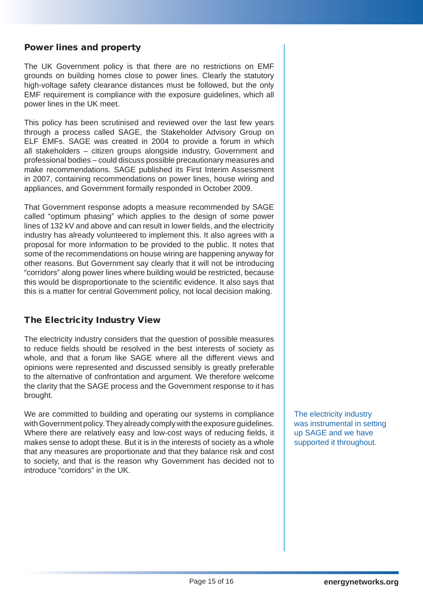#### Power lines and property

The UK Government policy is that there are no restrictions on EMF grounds on building homes close to power lines. Clearly the statutory high-voltage safety clearance distances must be followed, but the only EMF requirement is compliance with the exposure guidelines, which all power lines in the UK meet.

This policy has been scrutinised and reviewed over the last few years through a process called SAGE, the Stakeholder Advisory Group on ELF EMFs. SAGE was created in 2004 to provide a forum in which all stakeholders – citizen groups alongside industry, Government and professional bodies – could discuss possible precautionary measures and make recommendations. SAGE published its First Interim Assessment in 2007, containing recommendations on power lines, house wiring and appliances, and Government formally responded in October 2009.

That Government response adopts a measure recommended by SAGE called "optimum phasing" which applies to the design of some power lines of 132 kV and above and can result in lower fields, and the electricity industry has already volunteered to implement this. It also agrees with a proposal for more information to be provided to the public. It notes that some of the recommendations on house wiring are happening anyway for other reasons. But Government say clearly that it will not be introducing "corridors" along power lines where building would be restricted, because this would be disproportionate to the scientific evidence. It also says that this is a matter for central Government policy, not local decision making.

## The Electricity Industry View

The electricity industry considers that the question of possible measures to reduce fields should be resolved in the best interests of society as whole, and that a forum like SAGE where all the different views and opinions were represented and discussed sensibly is greatly preferable to the alternative of confrontation and argument. We therefore welcome the clarity that the SAGE process and the Government response to it has brought.

We are committed to building and operating our systems in compliance with Government policy. They already comply with the exposure guidelines. Where there are relatively easy and low-cost ways of reducing fields, it makes sense to adopt these. But it is in the interests of society as a whole that any measures are proportionate and that they balance risk and cost to society, and that is the reason why Government has decided not to introduce "corridors" in the UK.

The electricity industry was instrumental in setting up SAGE and we have supported it throughout.